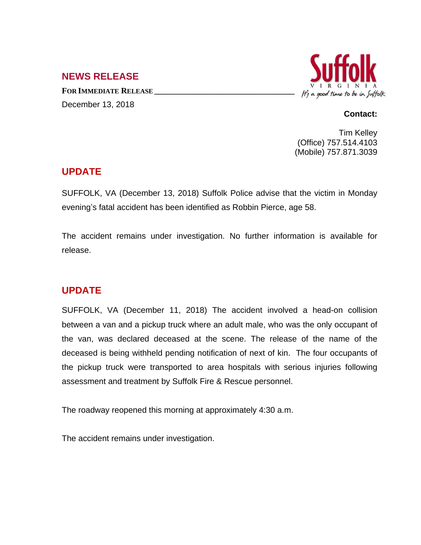### **NEWS RELEASE**

December 13, 2018

**FOR IMMEDIATE RELEASE \_\_\_\_\_\_\_\_\_\_\_\_\_\_\_\_\_\_\_\_\_\_\_\_\_\_\_\_\_\_\_\_\_\_**



#### **Contact:**

Tim Kelley (Office) 757.514.4103 (Mobile) 757.871.3039

## **UPDATE**

SUFFOLK, VA (December 13, 2018) Suffolk Police advise that the victim in Monday evening's fatal accident has been identified as Robbin Pierce, age 58.

The accident remains under investigation. No further information is available for release.

# **UPDATE**

SUFFOLK, VA (December 11, 2018) The accident involved a head-on collision between a van and a pickup truck where an adult male, who was the only occupant of the van, was declared deceased at the scene. The release of the name of the deceased is being withheld pending notification of next of kin. The four occupants of the pickup truck were transported to area hospitals with serious injuries following assessment and treatment by Suffolk Fire & Rescue personnel.

The roadway reopened this morning at approximately 4:30 a.m.

The accident remains under investigation.